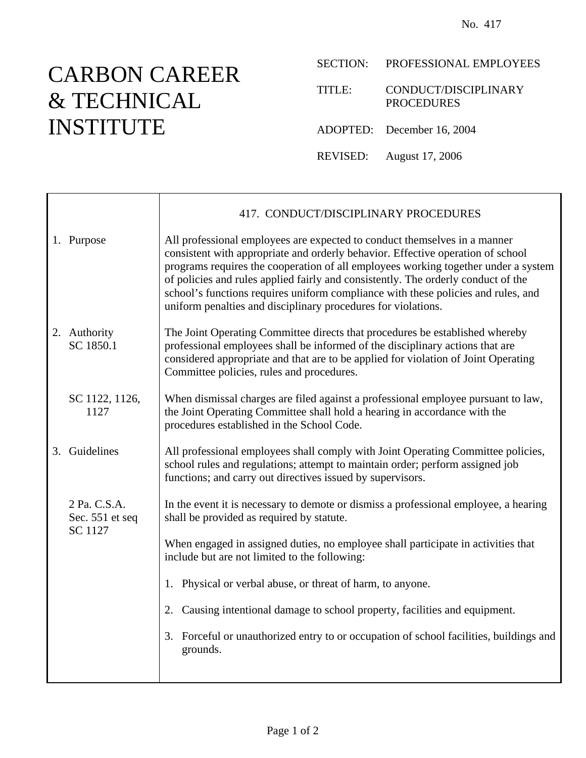## CARBON CAREER & TECHNICAL INSTITUTE

- SECTION: PROFESSIONAL EMPLOYEES
- TITLE: CONDUCT/DISCIPLINARY PROCEDURES
- ADOPTED: December 16, 2004
- REVISED: August 17, 2006

|                                            | 417. CONDUCT/DISCIPLINARY PROCEDURES                                                                                                                                                                                                                                                                                                                                                                                                                                                          |
|--------------------------------------------|-----------------------------------------------------------------------------------------------------------------------------------------------------------------------------------------------------------------------------------------------------------------------------------------------------------------------------------------------------------------------------------------------------------------------------------------------------------------------------------------------|
| 1. Purpose                                 | All professional employees are expected to conduct themselves in a manner<br>consistent with appropriate and orderly behavior. Effective operation of school<br>programs requires the cooperation of all employees working together under a system<br>of policies and rules applied fairly and consistently. The orderly conduct of the<br>school's functions requires uniform compliance with these policies and rules, and<br>uniform penalties and disciplinary procedures for violations. |
| 2. Authority<br>SC 1850.1                  | The Joint Operating Committee directs that procedures be established whereby<br>professional employees shall be informed of the disciplinary actions that are<br>considered appropriate and that are to be applied for violation of Joint Operating<br>Committee policies, rules and procedures.                                                                                                                                                                                              |
| SC 1122, 1126,<br>1127                     | When dismissal charges are filed against a professional employee pursuant to law,<br>the Joint Operating Committee shall hold a hearing in accordance with the<br>procedures established in the School Code.                                                                                                                                                                                                                                                                                  |
| 3. Guidelines                              | All professional employees shall comply with Joint Operating Committee policies,<br>school rules and regulations; attempt to maintain order; perform assigned job<br>functions; and carry out directives issued by supervisors.                                                                                                                                                                                                                                                               |
| 2 Pa. C.S.A.<br>Sec. 551 et seq<br>SC 1127 | In the event it is necessary to demote or dismiss a professional employee, a hearing<br>shall be provided as required by statute.                                                                                                                                                                                                                                                                                                                                                             |
|                                            | When engaged in assigned duties, no employee shall participate in activities that<br>include but are not limited to the following:                                                                                                                                                                                                                                                                                                                                                            |
|                                            | 1. Physical or verbal abuse, or threat of harm, to anyone.                                                                                                                                                                                                                                                                                                                                                                                                                                    |
|                                            | Causing intentional damage to school property, facilities and equipment.<br>2.                                                                                                                                                                                                                                                                                                                                                                                                                |
|                                            | 3. Forceful or unauthorized entry to or occupation of school facilities, buildings and<br>grounds.                                                                                                                                                                                                                                                                                                                                                                                            |
|                                            |                                                                                                                                                                                                                                                                                                                                                                                                                                                                                               |